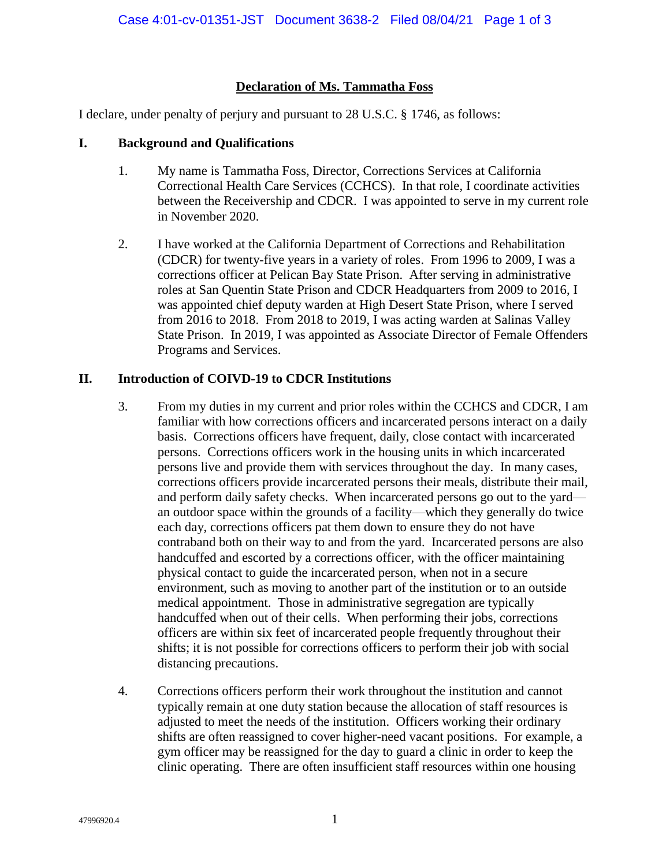## **Declaration of Ms. Tammatha Foss**

I declare, under penalty of perjury and pursuant to 28 U.S.C. § 1746, as follows:

## **I. Background and Qualifications**

- 1. My name is Tammatha Foss, Director, Corrections Services at California Correctional Health Care Services (CCHCS). In that role, I coordinate activities between the Receivership and CDCR. I was appointed to serve in my current role in November 2020.
- 2. I have worked at the California Department of Corrections and Rehabilitation (CDCR) for twenty-five years in a variety of roles. From 1996 to 2009, I was a corrections officer at Pelican Bay State Prison. After serving in administrative roles at San Quentin State Prison and CDCR Headquarters from 2009 to 2016, I was appointed chief deputy warden at High Desert State Prison, where I served from 2016 to 2018. From 2018 to 2019, I was acting warden at Salinas Valley State Prison. In 2019, I was appointed as Associate Director of Female Offenders Programs and Services.

## **II. Introduction of COIVD-19 to CDCR Institutions**

- 3. From my duties in my current and prior roles within the CCHCS and CDCR, I am familiar with how corrections officers and incarcerated persons interact on a daily basis. Corrections officers have frequent, daily, close contact with incarcerated persons. Corrections officers work in the housing units in which incarcerated persons live and provide them with services throughout the day. In many cases, corrections officers provide incarcerated persons their meals, distribute their mail, and perform daily safety checks. When incarcerated persons go out to the yard an outdoor space within the grounds of a facility—which they generally do twice each day, corrections officers pat them down to ensure they do not have contraband both on their way to and from the yard. Incarcerated persons are also handcuffed and escorted by a corrections officer, with the officer maintaining physical contact to guide the incarcerated person, when not in a secure environment, such as moving to another part of the institution or to an outside medical appointment. Those in administrative segregation are typically handcuffed when out of their cells. When performing their jobs, corrections officers are within six feet of incarcerated people frequently throughout their shifts; it is not possible for corrections officers to perform their job with social distancing precautions.
- 4. Corrections officers perform their work throughout the institution and cannot typically remain at one duty station because the allocation of staff resources is adjusted to meet the needs of the institution. Officers working their ordinary shifts are often reassigned to cover higher-need vacant positions. For example, a gym officer may be reassigned for the day to guard a clinic in order to keep the clinic operating. There are often insufficient staff resources within one housing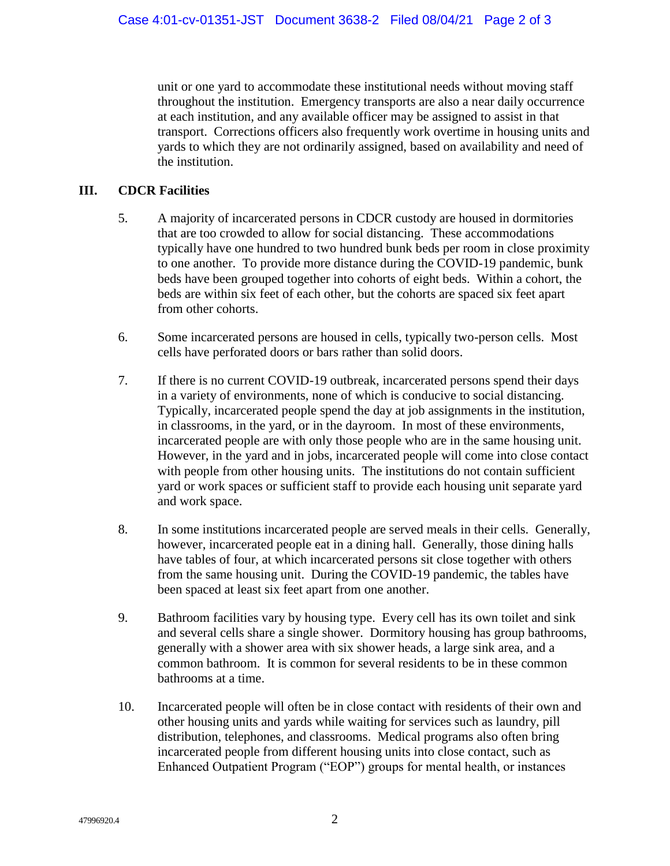unit or one yard to accommodate these institutional needs without moving staff throughout the institution. Emergency transports are also a near daily occurrence at each institution, and any available officer may be assigned to assist in that transport. Corrections officers also frequently work overtime in housing units and yards to which they are not ordinarily assigned, based on availability and need of the institution.

## **III. CDCR Facilities**

- 5. A majority of incarcerated persons in CDCR custody are housed in dormitories that are too crowded to allow for social distancing. These accommodations typically have one hundred to two hundred bunk beds per room in close proximity to one another. To provide more distance during the COVID-19 pandemic, bunk beds have been grouped together into cohorts of eight beds. Within a cohort, the beds are within six feet of each other, but the cohorts are spaced six feet apart from other cohorts.
- 6. Some incarcerated persons are housed in cells, typically two-person cells. Most cells have perforated doors or bars rather than solid doors.
- 7. If there is no current COVID-19 outbreak, incarcerated persons spend their days in a variety of environments, none of which is conducive to social distancing. Typically, incarcerated people spend the day at job assignments in the institution, in classrooms, in the yard, or in the dayroom. In most of these environments, incarcerated people are with only those people who are in the same housing unit. However, in the yard and in jobs, incarcerated people will come into close contact with people from other housing units. The institutions do not contain sufficient yard or work spaces or sufficient staff to provide each housing unit separate yard and work space.
- 8. In some institutions incarcerated people are served meals in their cells. Generally, however, incarcerated people eat in a dining hall. Generally, those dining halls have tables of four, at which incarcerated persons sit close together with others from the same housing unit. During the COVID-19 pandemic, the tables have been spaced at least six feet apart from one another.
- 9. Bathroom facilities vary by housing type. Every cell has its own toilet and sink and several cells share a single shower. Dormitory housing has group bathrooms, generally with a shower area with six shower heads, a large sink area, and a common bathroom. It is common for several residents to be in these common bathrooms at a time.
- 10. Incarcerated people will often be in close contact with residents of their own and other housing units and yards while waiting for services such as laundry, pill distribution, telephones, and classrooms. Medical programs also often bring incarcerated people from different housing units into close contact, such as Enhanced Outpatient Program ("EOP") groups for mental health, or instances